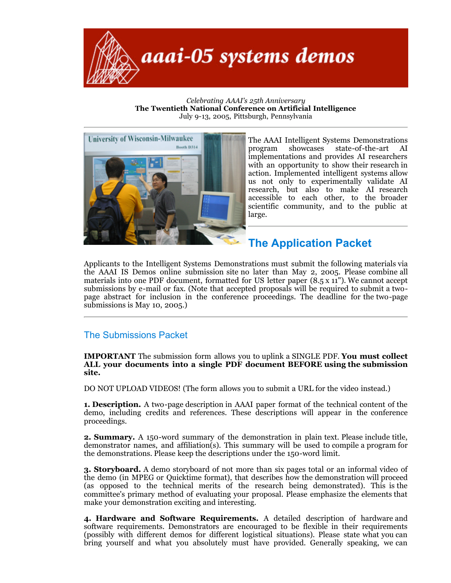

*Celebrating AAAI's 25th Anniversary* **The Twentieth National Conference on Artificial Intelligence** July 9-13, 2005, Pittsburgh, Pennsylvania



The AAAI Intelligent Systems Demonstrations program showcases state-of-the-art AI implementations and provides AI researchers with an opportunity to show their research in action. Implemented intelligent systems allow us not only to experimentally validate AI research, but also to make AI research accessible to each other, to the broader scientific community, and to the public at large.

## **The Application Packet**

Applicants to the Intelligent Systems Demonstrations must submit the following materials via the AAAI IS Demos online submission site no later than May 2, 2005. Please combine all materials into one PDF document, formatted for US letter paper (8.5 x 11"). We cannot accept submissions by e-mail or fax. (Note that accepted proposals will be required to submit a twopage abstract for inclusion in the conference proceedings. The deadline for the two-page submissions is May 10, 2005.)

## The Submissions Packet

**IMPORTANT** The submission form allows you to uplink a SINGLE PDF. **You must collect ALL your documents into a single PDF document BEFORE using the submission site.**

DO NOT UPLOAD VIDEOS! (The form allows you to submit a URL for the video instead.)

**1. Description.** A two-page description in AAAI paper format of the technical content of the demo, including credits and references. These descriptions will appear in the conference proceedings.

**2. Summary.** A 150-word summary of the demonstration in plain text. Please include title, demonstrator names, and affiliation(s). This summary will be used to compile a program for the demonstrations. Please keep the descriptions under the 150-word limit.

**3. Storyboard.** A demo storyboard of not more than six pages total or an informal video of the demo (in MPEG or Quicktime format), that describes how the demonstration will proceed (as opposed to the technical merits of the research being demonstrated). This is the committee's primary method of evaluating your proposal. Please emphasize the elements that make your demonstration exciting and interesting.

**4. Hardware and Software Requirements.** A detailed description of hardware and software requirements. Demonstrators are encouraged to be flexible in their requirements (possibly with different demos for different logistical situations). Please state what you can bring yourself and what you absolutely must have provided. Generally speaking, we can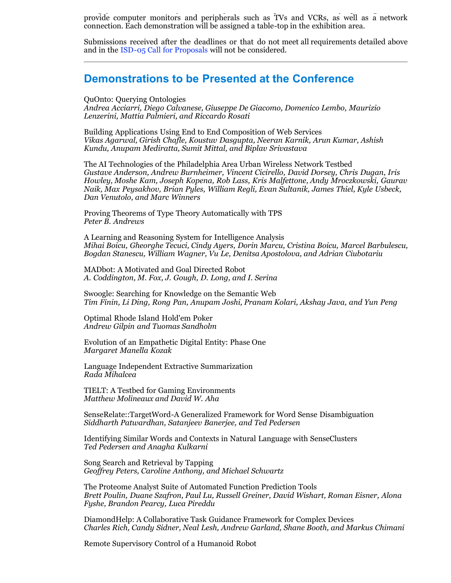bring yourself and what you absolutely must have provided. Generally speaking, we can provide computer monitors and peripherals such as TVs and VCRs, as well as a network connection. Each demonstration will be assigned a table-top in the exhibition area.

Submissions received after the deadlines or that do not meet all requirements detailed above and in the ISD-05 Call for Proposals will not be considered.

## **Demonstrations to be Presented at the Conference**

QuOnto: Querying Ontologies

*Andrea Acciarri, Diego Calvanese, Giuseppe De Giacomo, Domenico Lembo, Maurizio Lenzerini, Mattia Palmieri, and Riccardo Rosati*

Building Applications Using End to End Composition of Web Services *Vikas Agarwal, Girish Chafle, Koustuv Dasgupta, Neeran Karnik, Arun Kumar, Ashish Kundu, Anupam Mediratta, Sumit Mittal, and Biplav Srivastava*

The AI Technologies of the Philadelphia Area Urban Wireless Network Testbed *Gustave Anderson, Andrew Burnheimer, Vincent Cicirello, David Dorsey, Chris Dugan, Iris Howley, Moshe Kam, Joseph Kopena, Rob Lass, Kris Malfettone, Andy Mroczkowski, Gaurav Naik, Max Peysakhov, Brian Pyles, William Regli, Evan Sultanik, James Thiel, Kyle Usbeck, Dan Venutolo, and Marc Winners*

Proving Theorems of Type Theory Automatically with TPS *Peter B. Andrews*

A Learning and Reasoning System for Intelligence Analysis *Mihai Boicu, Gheorghe Tecuci, Cindy Ayers, Dorin Marcu, Cristina Boicu, Marcel Barbulescu, Bogdan Stanescu, William Wagner, Vu Le, Denitsa Apostolova, and Adrian Ciubotariu*

MADbot: A Motivated and Goal Directed Robot *A. Coddington, M. Fox, J. Gough, D. Long, and I. Serina*

Swoogle: Searching for Knowledge on the Semantic Web *Tim Finin, Li Ding, Rong Pan, Anupam Joshi, Pranam Kolari, Akshay Java, and Yun Peng*

Optimal Rhode Island Hold'em Poker *Andrew Gilpin and Tuomas Sandholm*

Evolution of an Empathetic Digital Entity: Phase One *Margaret Manella Kozak*

Language Independent Extractive Summarization *Rada Mihalcea*

TIELT: A Testbed for Gaming Environments *Matthew Molineaux and David W. Aha*

SenseRelate::TargetWord-A Generalized Framework for Word Sense Disambiguation *Siddharth Patwardhan, Satanjeev Banerjee, and Ted Pedersen*

Identifying Similar Words and Contexts in Natural Language with SenseClusters *Ted Pedersen and Anagha Kulkarni*

Song Search and Retrieval by Tapping *Geoffrey Peters, Caroline Anthony, and Michael Schwartz*

The Proteome Analyst Suite of Automated Function Prediction Tools *Brett Poulin, Duane Szafron, Paul Lu, Russell Greiner, David Wishart, Roman Eisner, Alona Fyshe, Brandon Pearcy, Luca Pireddu*

DiamondHelp: A Collaborative Task Guidance Framework for Complex Devices *Charles Rich, Candy Sidner, Neal Lesh, Andrew Garland, Shane Booth, and Markus Chimani*

Remote Supervisory Control of a Humanoid Robot